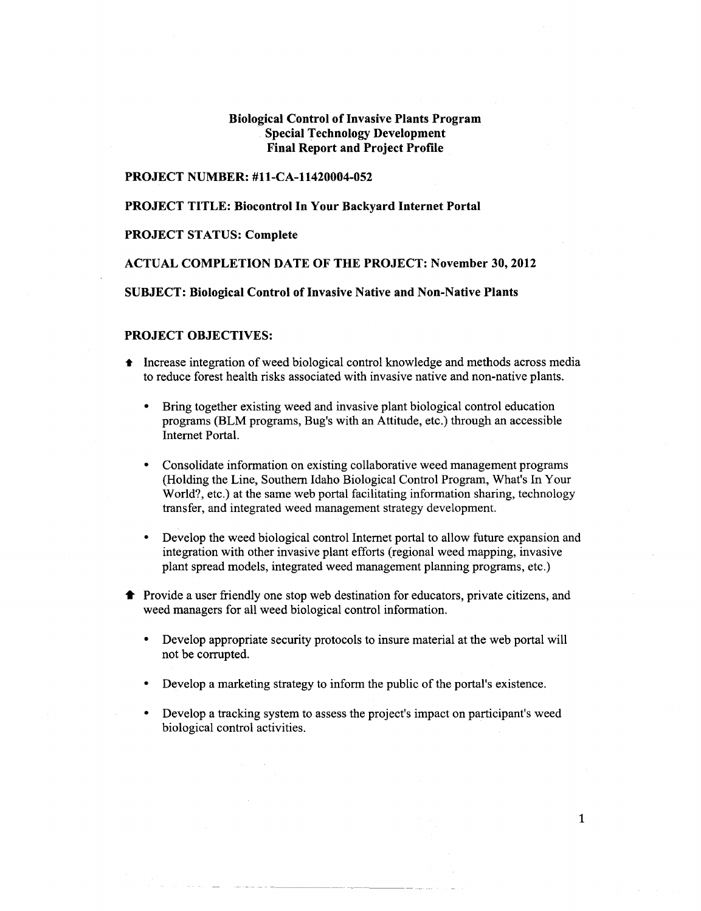# **Biological Control of Invasive Plants Program Special Technology Development Final Report and Project Profile**

### **PROJECT NUMBER: #11-CA-11420004-052**

### **PROJECT TITLE: Biocontrol In Your Backyard Internet Portal**

## **PROJECT STATUS: Complete**

### **ACTUAL COMPLETION DATE OF THE PROJECT: November 30,2012**

## **SUBJECT: Biological Control of Invasive Native and Non-Native Plants**

### **PROJECT OBJECTIVES:**

- Increase integration of weed biological control knowledge and methods across media to reduce forest health risks associated with invasive native and non-native plants.
	- Bring together existing weed and invasive plant biological control education programs (BLM programs, Bug's with an Attitude, etc.) through an accessible Internet Portal.
	- Consolidate information on existing collaborative weed management programs (Holding the Line, Southern Idaho Biological Control Program, What's In Your World?, etc.) at the same web portal facilitating information sharing, technology transfer, and integrated weed management strategy development.
	- Develop the weed biological control Internet portal to allow future expansion and integration with other invasive plant efforts (regional weed mapping, invasive plant spread models, integrated weed management planning programs, etc.)
- Provide a user friendly one stop web destination for educators, private citizens, and weed managers for all weed biological control information.
	- Develop appropriate security protocols to insure material at the web portal will not be corrupted.
	- Develop a marketing strategy to inform the public of the portal's existence.
	- Develop a tracking system to assess the project's impact on participant's weed biological control activities.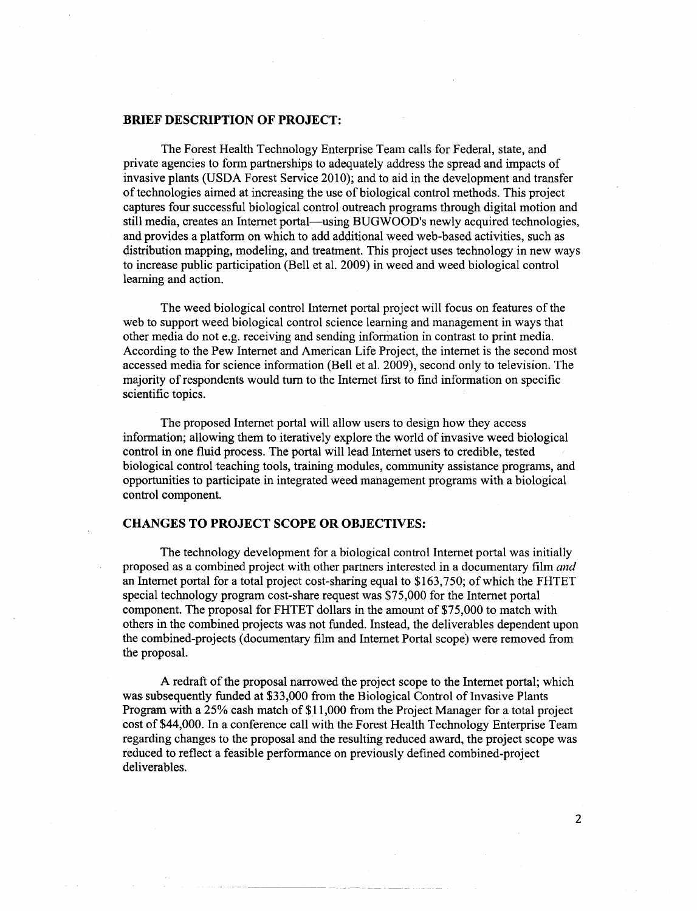### **BRIEF DESCRIPTION OF PROJECT:**

The Forest Health Technology Enterprise Team calls for Federal, state, and private agencies to form partnerships to adequately address the spread and impacts of invasive plants (USDA Forest Service 2010); and to aid in the development and transfer of technologies aimed at increasing the use of biological control methods. This project captures four successful biological control outreach programs through digital motion and still media, creates an Internet portal—using BUGWOOD's newly acquired technologies, and provides a platform on which to add additional weed web-based activities, such as distribution mapping, modeling, and treatment. This project uses technology in new ways to increase public participation (Bell et al. 2009) in weed and weed biological control learning and action.

The weed biological control Internet portal project will focus on features of the web to support weed biological control science learning and management in ways that other media do not e.g. receiving and sending information in contrast to print media. According to the Pew Internet and American Life Project, the internet is the second most accessed media for science information (Bell et al. 2009), second only to television. The majority of respondents would tum to the Internet first to find information on specific scientific topics.

The proposed Internet portal will allow users to design how they access information; allowing them to iteratively explore the world of invasive weed biological control in one fluid process. The portal will lead Internet users to credible, tested biological control teaching tools, training modules, community assistance programs, and opportunities to participate in integrated weed management programs with a biological control component.

### **CHANGES TO PROJECT SCOPE OR OBJECTIVES:**

The technology development for a biological control Internet portal was initially proposed as a combined project with other partners interested in a documentary film *and*  an Internet portal for a total project cost-sharing equal to \$163,750; of which the FHTET special technology program cost-share request was \$75,000 for the Internet portal component. The proposal for FHTET dollars in the amount of \$75,000 to match with others in the combined projects was not funded. Instead, the deliverables dependent upon the combined-projects (documentary film and Internet Portal scope) were removed from the proposal.

A redraft of the proposal narrowed the project scope to the Internet portal; which was subsequently funded at \$33,000 from the Biological Control of Invasive Plants Program with a 25% cash match of \$11,000 from the Project Manager for a total project cost of \$44,000. In a conference call with the Forest Health Technology Enterprise Team regarding changes to the proposal and the resulting reduced award, the project scope was reduced to reflect a feasible performance on previously defined combined-project deliverables.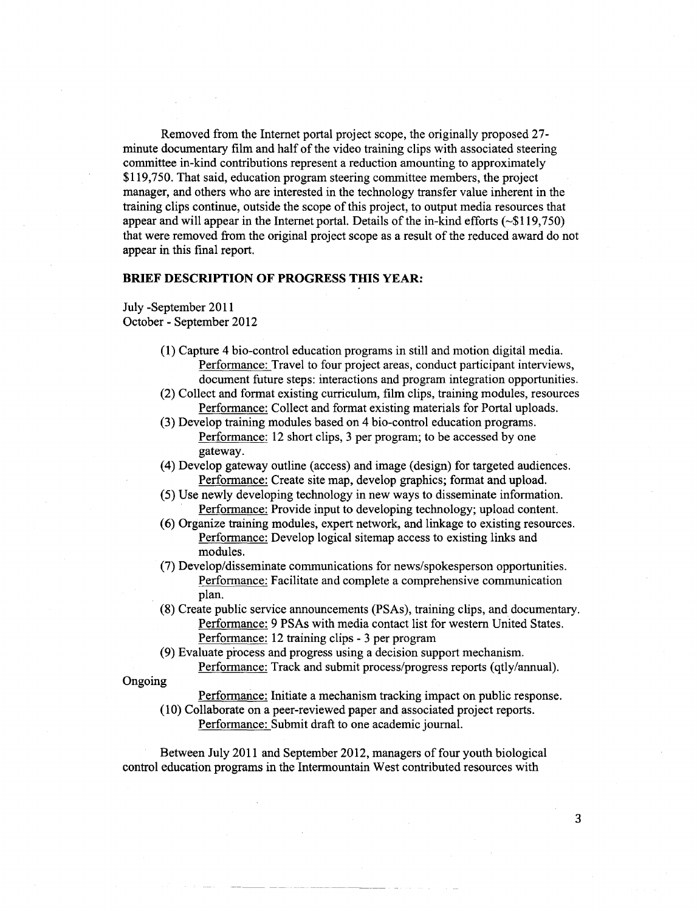Removed from the Internet portal project scope, the originally proposed 27 minute documentary film and half of the video training clips with associated steering committee in-kind contributions represent a reduction amounting to approximately \$119,750. That said, education program steering committee members, the project manager, and others who are interested in the technology transfer value inherent in the training clips continue, outside the scope of this project, to output media resources that appear and will appear in the Internet portal. Details of the in-kind efforts (~\$119,750) that were removed from the original project scope as a result of the reduced award do not appear in this final report.

### **BRIEF DESCRIPTION OF PROGRESS THIS YEAR:**

July -September 2011 October- September 2012

- **{1)** Capture 4 bio-control education programs in still and motion digital media. Performance: Travel to four project areas, conduct participant interviews, document future steps: interactions and program integration opportunities.
- {2) Collect and format existing curriculum, film clips, training modules, resources Performance: Collect and format existing materials for Portal uploads.
- {3) Develop training modules based on 4 bio-control education programs. Performance: 12 short clips, 3 per program; to be accessed by one gateway.
- (4) Develop gateway outline (access) and image (design) for targeted audiences. Performance: Create site map, develop graphics; format and upload.
- (5) Use newly developing technology in new ways to disseminate information. Performance: Provide input to developing technology; upload content.
- ( 6) Organize training modules, expert network, and linkage to existing resources. Performance: Develop logical sitemap access to existing links and modules.
- {7) Develop/disseminate communications for news/spokesperson opportunities. Performance: Facilitate and complete a comprehensive communication plan.
- (8) Create public service announcements (PSAs), training clips, and documentary. Performance: 9 PSAs with media contact list for western United States. Performance: 12 training clips - 3 per program
- (9) Evaluate process and progress using a decision support mechanism. Performance: Track and submit process/progress reports (qtly/annual).

Ongoing

- Performance: Initiate a mechanism tracking impact on public response.
- (10) Collaborate on a peer-reviewed paper and associated project reports. Performance: Submit draft to one academic journal.

Between July 2011 and September 2012, managers of four youth biological control education programs in the Intermountain West contributed resources with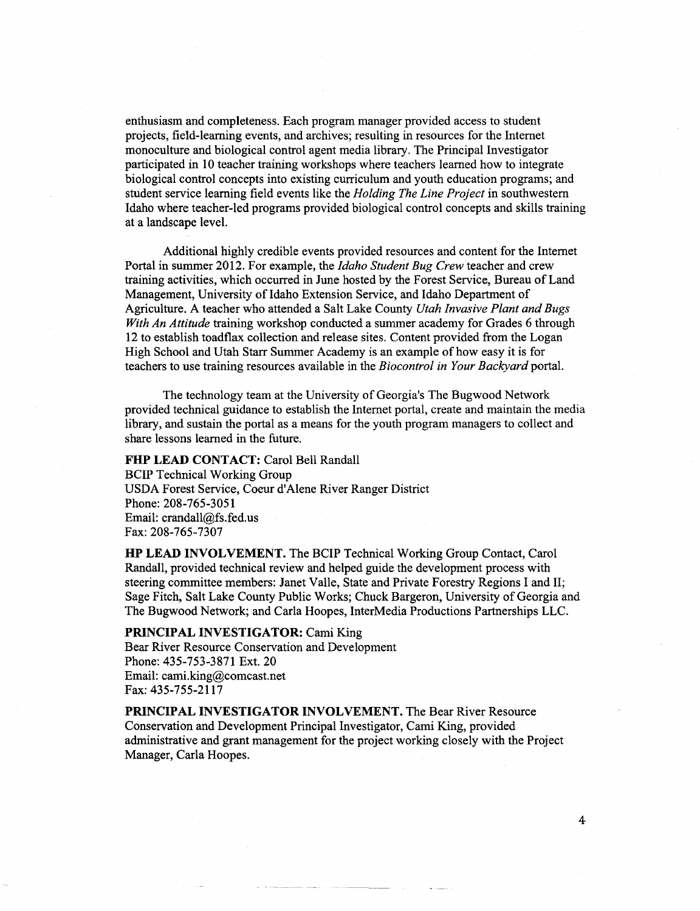enthusiasm and completeness. Each program manager provided access to student projects, field-learning events, and archives; resulting in resources for the Internet monoculture and biological control agent media library. The Principal Investigator participated in 10 teacher training workshops where teachers learned how to integrate biological control concepts into existing curriculum and youth education programs; and student service learning field events like the *Holding The Line Project* in southwestern Idaho where teacher-led programs provided biological control concepts and skills training at a landscape level.

Additional highly credible events provided resources and content for the Internet Portal in summer 2012. For example, the *Idaho Student Bug Crew* teacher and crew training activities, which occurred in June hosted by the Forest Service, Bureau of Land Management, University of Idaho Extension Service, and Idaho Department of Agriculture. A teacher who attended a Salt Lake County *Utah Invasive Plant and Bugs With An Attitude* training workshop conducted a summer academy for Grades 6 through 12 to establish toadflax collection and release sites. Content provided from the Logan High School and Utah Starr Summer Academy is an example of how easy it is for teachers to use training resources available in the *Biocontrol in Your Backyard* portal.

The technology team at the University of Georgia's The Bugwood Network provided technical guidance to establish the Internet portal, create and maintain the media library, and sustain the portal as a means for the youth program managers to collect and share lessons learned in the future.

# FHP LEAD CONTACT: Carol Bell Randall BCIP Technical Working Group USDA Forest Service, Coeur d'Alene River Ranger District Phone: 208-765-3051 Email: crandall@fs.fed.us Fax: 208-765-7307

**HP LEAD INVOLVEMENT.** The BCIP Technical Working Group Contact, Carol Randall, provided technical review and helped guide the development process with steering committee members: Janet Valle, State and Private Forestry Regions I and II; Sage Fitch, Salt Lake County Public Works; Chuck Bargeron, University of Georgia and The Bugwood Network; and Carla Hoopes, InterMedia Productions Partnerships LLC.

### **PRINCIPAL INVESTIGATOR:** Cami King

Bear River Resource Conservation and Development Phone: 435-753-3871 Ext. 20 Email: cami.king@comcast.net Fax: 435-755-2117

**PRINCIPAL INVESTIGATOR INVOLVEMENT.** The Bear River Resource Conservation and Development Principal Investigator, Cami King, provided administrative and grant management for the project working closely with the Project Manager, Carla Hoopes.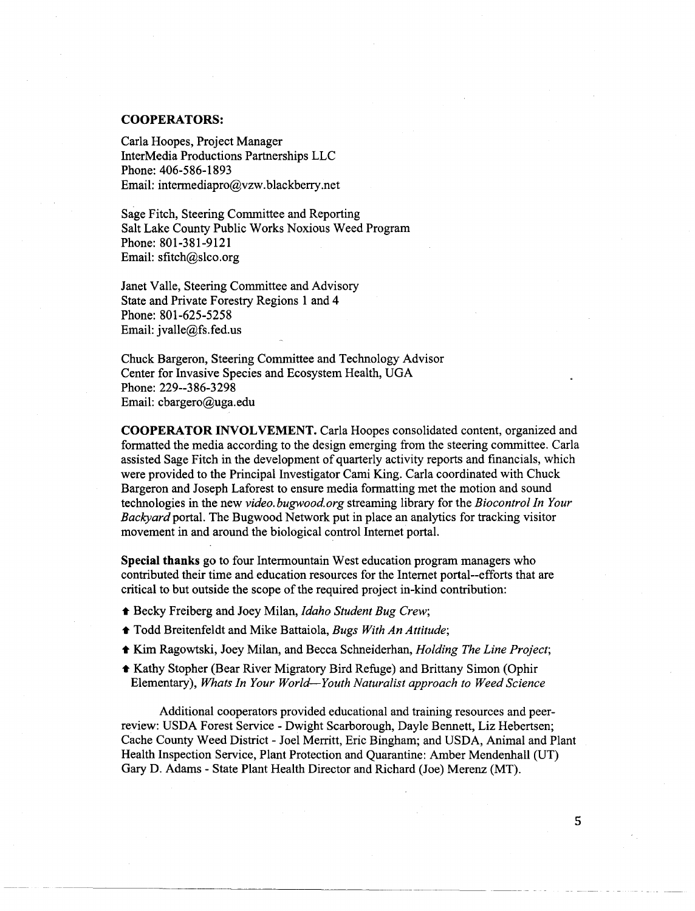#### **COOPERATORS:**

Carla Hoopes, Project Manager InterMedia Productions Partnerships LLC Phone: 406-586-1893 Email: intermediapro@vzw. blackberry.net

Sage Fitch, Steering Committee and Reporting Salt Lake County Public Works Noxious Weed Program Phone: 801-381-9121 Email: sfitch@slco.org

Janet Valle, Steering Committee and Advisory State and Private Forestry Regions 1 and 4 Phone: 801-625-5258 Email: jvalle@fs.fed.us

Chuck Bargeron, Steering Committee and Technology Advisor Center for Invasive Species and Ecosystem Health, UGA Phone: 229--386-3298 Email: cbargero@uga.edu

**COOPERATOR INVOLVEMENT.** Carla Hoopes consolidated content, organized and formatted the media according to the design emerging from the steering committee. Carla assisted Sage Fitch in the development of quarterly activity reports and financials, which were provided to the Principal Investigator Cami King. Carla coordinated with Chuck Bargeron and Joseph Laforest to ensure media formatting met the motion and sound technologies in the new *video.bugwood.org* streaming library for the *Biocontrol In Your Backyard* portal. The Bugwood Network put in place an analytics for tracking visitor movement in and around the biological control Internet portal.

**Special thanks** go to four Intermountain West education program managers who contributed their time and education resources for the Internet portal--efforts that are critical to but outside the scope of the required project in-kind contribution:

- Becky Freiberg and Joey Milan, *Idaho Student Bug Crew;*
- Todd Breitenfeldt and Mike Battaiola, *Bugs With An Attitude;*
- Kim Ragowtski, Joey Milan, and Becca Schneiderhan, *Holding The Line Project;*
- Kathy Stopher (Bear River Migratory Bird Refuge) and Brittany Simon (Ophir Elementary), *Whats In Your World-Youth Naturalist approach to Weed Science*

Additional cooperators provided educational and training resources and peerreview: USDA Forest Service- Dwight Scarborough, Dayle Bennett, Liz Hebertsen; Cache County Weed District- Joel Merritt, Eric Bingham; and USDA, Animal and Plant Health Inspection Service, Plant Protection and Quarantine: Amber Mendenhall (UT) Gary D. Adams- State Plant Health Director and Richard (Joe) Merenz (MT).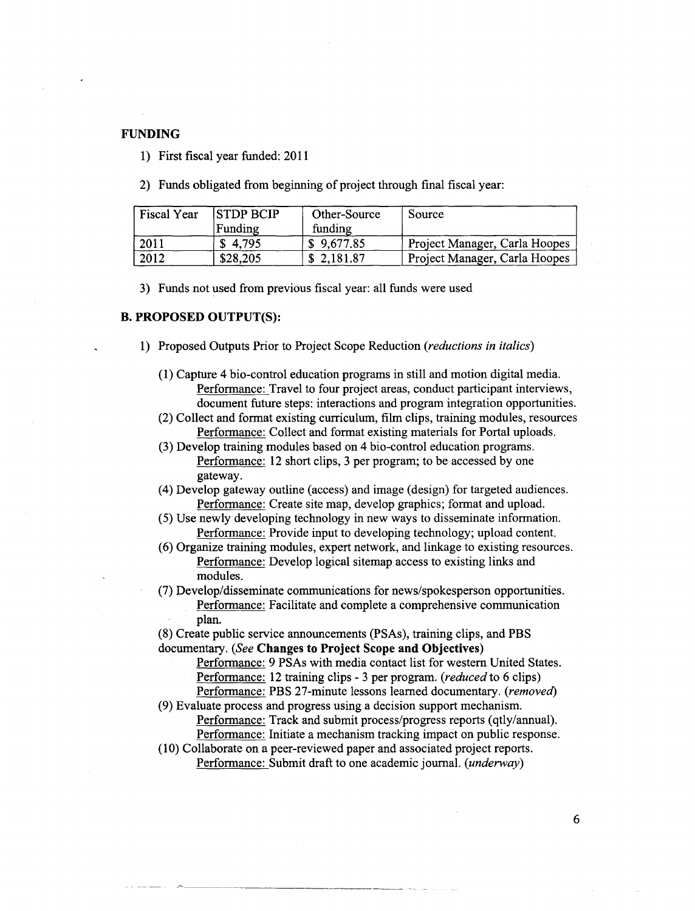### **FUNDING**

**1)** First fiscal year funded: 2011

2) Funds obligated from beginning of project through final fiscal year:

| <b>Fiscal Year</b> | <b>STDP BCIP</b> | Other-Source | Source                        |
|--------------------|------------------|--------------|-------------------------------|
|                    | Funding          | funding      |                               |
| 12011              | \$4.795          | \$9,677.85   | Project Manager, Carla Hoopes |
| 2012               | \$28,205         | \$2,181.87   | Project Manager, Carla Hoopes |

3) Funds not used from previous fiscal year: all funds were used

# **B. PROPOSED OUTPUT(S):**

- 1) Proposed Outputs Prior to Project Scope Reduction *(reductions in italics)* 
	- (1) Capture 4 bio-control education programs in still and motion digital media. Performance: Travel to four project areas, conduct participant interviews, document future steps: interactions and program integration opportunities.
	- (2) Collect and format existing curriculum, film clips, training modules, resources Performance: Collect and format existing materials for Portal uploads.
	- (3) Develop training modules based on 4 bio-control education programs. Performance: 12 short clips, 3 per program; to be accessed by one gateway.
	- (4) Develop gateway outline (access) and image (design) for targeted audiences. Performance: Create site map, develop graphics; format and upload.
	- (5) Use newly developing technology in new ways to disseminate information. Performance: Provide input to developing technology; upload content.
	- (6) Organize training modules, expert network, and linkage to existing resources. Performance: Develop logical sitemap access to existing links and modules.
	- (7) Develop/disseminate communications for news/spokesperson opportunities. Performance: Facilitate and complete a comprehensive communication plan.

(8) Create public service announcements (PSAs), training clips, and PBS documentary. *(See* **Changes to Project Scope and Objectives)** 

Performance: 9 PSAs with media contact list for western United States. Performance: 12 training clips - 3 per program. *(reduced* to 6 clips) Performance: PBS 27-minute lessons learned documentary. *(removed)* 

(9) Evaluate process and progress using a decision support mechanism.

Performance: Track and submit process/progress reports (qtly/annual). Performance: Initiate a mechanism tracking impact on public response.

(10) Collaborate on a peer-reviewed paper and associated project reports. Performance: Submit draft to one academic journal. *(underway)*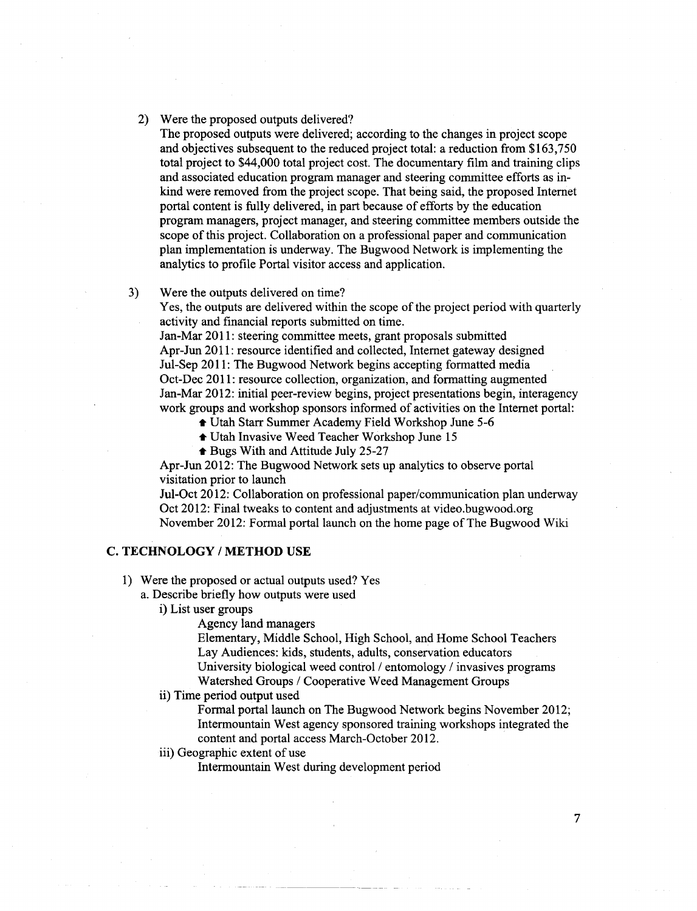### 2) Were the proposed outputs delivered?

The proposed outputs were delivered; according to the changes in project scope and objectives subsequent to the reduced project total: a reduction from \$163,750 total project to \$44,000 total project cost. The documentary film and training clips and associated education program manager and steering committee efforts as inkind were removed from the project scope. That being said, the proposed Internet portal content is fully delivered, in part because of efforts by the education program managers, project manager, and steering committee members outside the scope of this project. Collaboration on a professional paper and communication plan implementation is underway. The Bugwood Network is implementing the analytics to profile Portal visitor access and application.

#### 3) Were the outputs delivered on time?

Yes, the outputs are delivered within the scope of the project period with quarterly activity and financial reports submitted on time.

Jan-Mar 2011: steering committee meets, grant proposals submitted Apr-Jun 2011: resource identified and collected, Internet gateway designed Jul-Sep 2011: The Bugwood Network begins accepting formatted media Oct-Dec 2011: resource collection, organization, and formatting augmented Jan-Mar 2012: initial peer-review begins, project presentations begin, interagency work groups and workshop sponsors informed of activities on the Internet portal:

- Utah Starr Summer Academy Field Workshop June 5-6
- Utah Invasive Weed Teacher Workshop June 15
- Bugs With and Attitude July 25-27

Apr-Jun 2012: The Bugwood Network sets up analytics to observe portal visitation prior to launch

Jul-Oct 2012: Collaboration on professional paper/communication plan underway Oct 2012: Final tweaks to content and adjustments at video.bugwood.org November 2012: Formal portal launch on the home page of The Bugwood Wiki

## C. TECHNOLOGY / METHOD USE

1) Were the proposed or actual outputs used? Yes

a. Describe briefly how outputs were used

i) List user groups

Agency land managers

Elementary, Middle School, High School, and Home School Teachers Lay Audiences: kids, students, adults, conservation educators University biological weed control *I* entomology *I* invasives programs Watershed Groups *I* Cooperative Weed Management Groups

#### ii) Time period output used

Formal portal launch on The Bugwood Network begins November 2012; Intermountain West agency sponsored training workshops integrated the content and portal access March-October 2012.

# iii) Geographic extent of use

Intermountain West during development period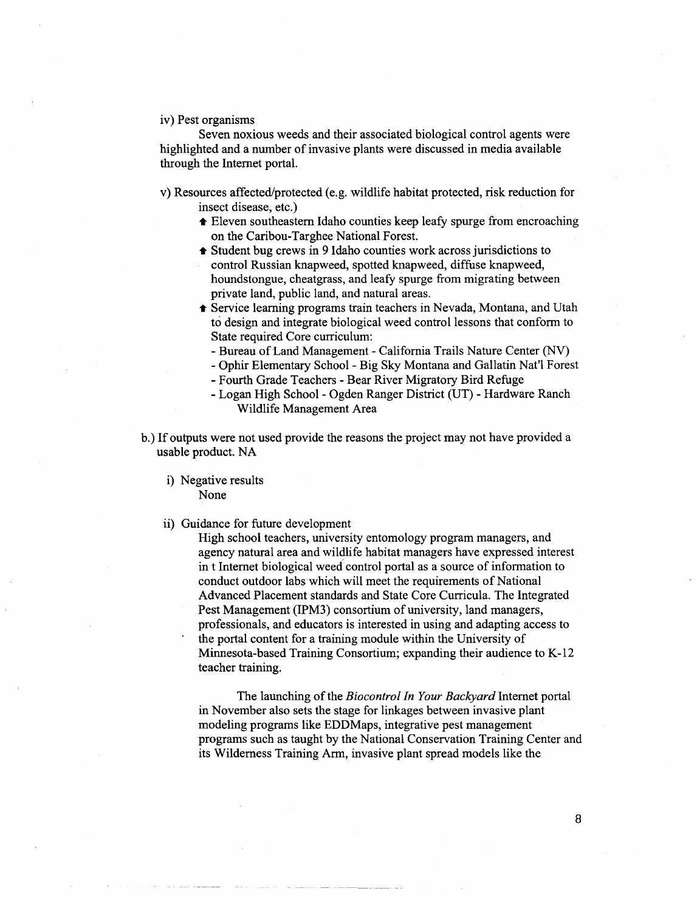#### iv) Pest organisms

Seven noxious weeds and their associated biological control agents were highlighted and a number of invasive plants were discussed in media available through the Internet portal.

- v) Resources affected/protected (e.g. wildlife habitat protected, risk reduction for insect disease, etc.)
	- Eleven southeastern Idaho counties keep leafy spurge from encroaching on the Caribou-Targhee National Forest.
	- Student bug crews in 9 Idaho counties work across jurisdictions to control Russian knapweed, spotted knapweed, diffuse knapweed, houndstongue, cheatgrass, and leafy spurge from migrating between private land, public land, and natural areas.
	- **f** Service learning programs train teachers in Nevada, Montana, and Utah to design and integrate biological weed control lessons that conform to State required Core curriculum:
		- -Bureau of Land Management- California Trails Nature Center (NV)
		- -Ophir Elementary School- Big Sky Montana and Gallatin Nat'l Forest
		- -Fourth Grade Teachers Bear River Migratory Bird Refuge
		- Logan High School Ogden Ranger District (UT) Hardware Ranch Wildlife Management Area
- b.) If outputs were not used provide the reasons the project may not have provided a usable product. NA
	- i) Negative results None
	- ii) Guidance for future development

High school teachers, university entomology program managers, and agency natural area and wildlife habitat managers have expressed interest in t Internet biological weed control portal as a source of information to conduct outdoor labs which will meet the requirements of National Advanced Placement standards and State Core Curricula. The Integrated Pest Management (IPM3) consortium of university, land managers, professionals, and educators is interested in using and adapting access to the portal content for a training module within the University of Minnesota-based Training Consortium; expanding their audience to K -12 teacher training.

The launching of the *Biocontrol In Your Backyard* Internet portal in November also sets the stage for linkages between invasive plant modeling programs like EDDMaps, integrative pest management programs such as taught by the National Conservation Training Center and its Wilderness Training Arm, invasive plant spread models like the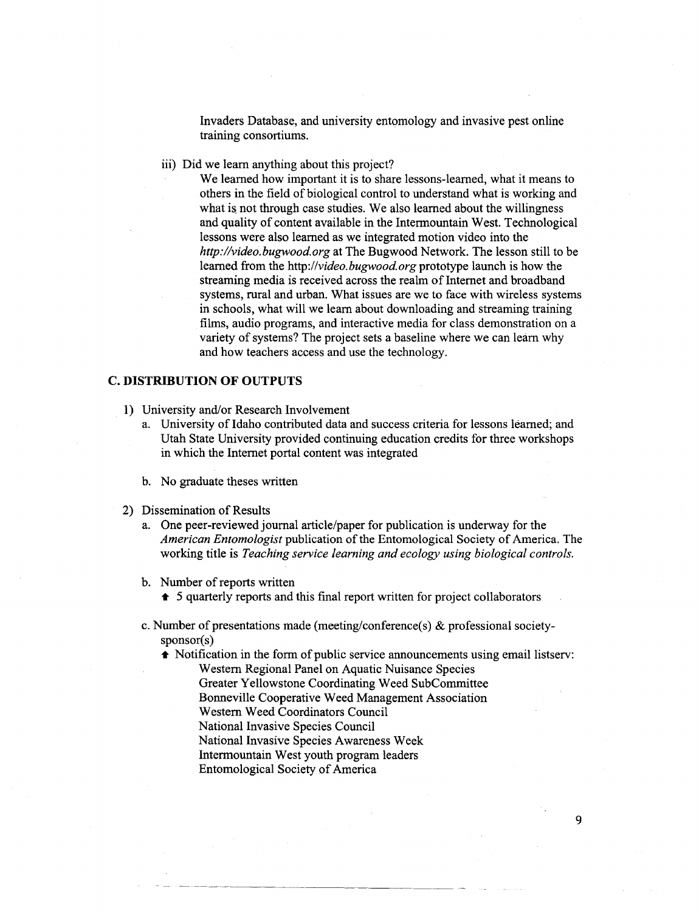Invaders Database, and university entomology and invasive pest online training consortiums.

iii) Did we learn anything about this project?

We learned how important it is to share lessons-learned, what it means to others in the field of biological control to understand what is working and what is not through case studies. We also learned about the willingness and quality of content available in the Intermountain West. Technological lessons were also learned as we integrated motion video into the *http://video.bugwood.org* at The Bugwood Network. The lesson still to be learned from the *http://video.bugwood.org* prototype launch is how the streaming media is received across the realm of Internet and broadband systems, rural and urban. What issues are we to face with wireless systems in schools, what will we learn about downloading and streaming training films, audio programs, and interactive media for class demonstration on a variety of systems? The project sets a baseline where we can learn why and how teachers access and use the technology.

### **C. DISTRIBUTION OF OUTPUTS**

- 1) University and/or Research Involvement
	- a. University of Idaho contributed data and success criteria for lessons learned; and Utah State University provided continuing education credits for three workshops in which the Internet portal content was integrated
	- b. No graduate theses written
- 2) Dissemination of Results
	- a. One peer-reviewed journal article/paper for publication is underway for the *American Entomologist* publication of the Entomological Society of America. The working title is *Teaching service learning and ecology using biological controls.*
	- b. Number of reports written
		- $\triangle$  5 quarterly reports and this final report written for project collaborators
	- c. Number of presentations made (meeting/conference(s) & professional societysponsor(s)
		- $\triangle$  Notification in the form of public service announcements using email listserv:

- Western Regional Panel on Aquatic Nuisance Species
- Greater Yellowstone Coordinating Weed SubCommittee
- Bonneville Cooperative Weed Management Association
- Western Weed Coordinators Council
- National Invasive Species Council
- National Invasive Species Awareness Week
- Intermountain West youth program leaders
- Entomological Society of America